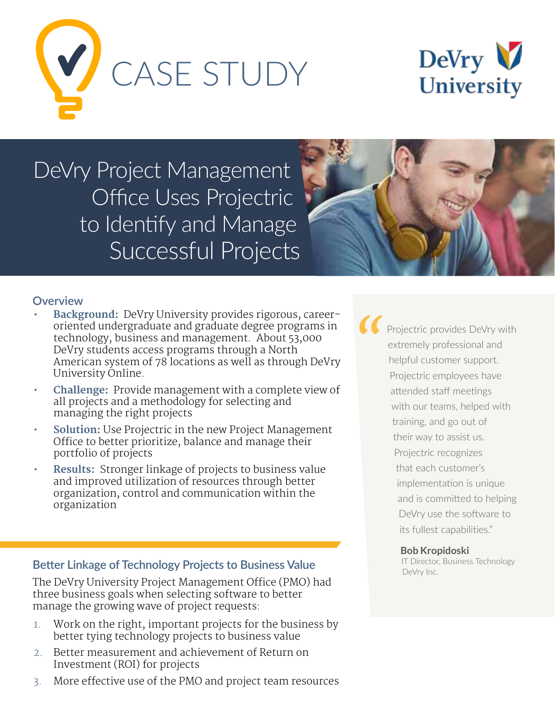



DeVry Project Management Office Uses Projectric to Identify and Manage Successful Projects



### **Overview**

- **Background:** DeVry University provides rigorous, careeroriented undergraduate and graduate degree programs in technology, business and management. About 53,000 DeVry students access programs through a North American system of 78 locations as well as through DeVry University Online.
- **Challenge:** Provide management with a complete view of all projects and a methodology for selecting and managing the right projects
- **Solution:** Use Projectric in the new Project Management Office to better prioritize, balance and manage their portfolio of projects
- **Results:** Stronger linkage of projects to business value and improved utilization of resources through better organization, control and communication within the organization

### **Better Linkage of Technology Projects to Business Value**

The DeVry University Project Management Office (PMO) had three business goals when selecting software to better manage the growing wave of project requests:

- 1. Work on the right, important projects for the business by better tying technology projects to business value
- 2. Better measurement and achievement of Return on Investment (ROI) for projects
- 3. More effective use of the PMO and project team resources

Projectric provides DeVry with extremely professional and helpful customer support. Projectric employees have attended staff meetings with our teams, helped with training, and go out of their way to assist us. Projectric recognizes that each customer's implementation is unique and is committed to helping DeVry use the software to its fullest capabilities." *"*

#### **Bob Kropidoski**

IT Director, Business Technology DeVry Inc.